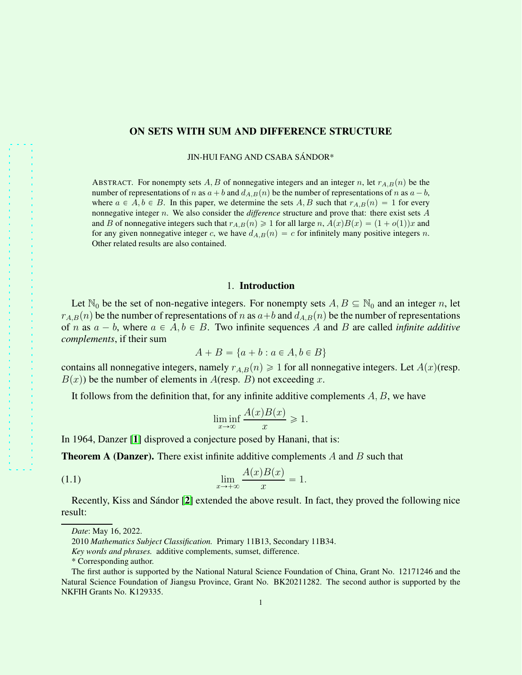## ON SETS WITH SUM AND DIFFERENCE STRUCTURE

JIN-HUI FANG AND CSABA SANDOR\* ´

ABSTRACT. For nonempty sets A, B of nonnegative integers and an integer n, let  $r_{A,B}(n)$  be the number of representations of n as  $a + b$  and  $d_{A,B}(n)$  be the number of representations of n as  $a - b$ , where  $a \in A, b \in B$ . In this paper, we determine the sets A, B such that  $r_{A,B}(n) = 1$  for every nonnegative integer n. We also consider the *difference* structure and prove that: there exist sets A and B of nonnegative integers such that  $r_{A,B}(n) \geq 1$  for all large n,  $A(x)B(x) = (1 + o(1))x$  and for any given nonnegative integer c, we have  $d_{A,B}(n) = c$  for infinitely many positive integers n. Other related results are also contained.

## 1. Introduction

Let  $\mathbb{N}_0$  be the set of non-negative integers. For nonempty sets  $A, B \subseteq \mathbb{N}_0$  and an integer n, let  $r_{A,B}(n)$  be the number of representations of n as  $a+b$  and  $d_{A,B}(n)$  be the number of representations of *n* as  $a - b$ , where  $a \in A$ ,  $b \in B$ . Two infinite sequences A and B are called *infinite additive complements*, if their sum

$$
A + B = \{a + b : a \in A, b \in B\}
$$

contains all nonnegative integers, namely  $r_{A,B}(n) \geq 1$  for all nonnegative integers. Let  $A(x)$ (resp.  $B(x)$ ) be the number of elements in  $A$ (resp. B) not exceeding x.

It follows from the definition that, for any infinite additive complements  $A, B$ , we have

<span id="page-0-0"></span>
$$
\liminf_{x \to \infty} \frac{A(x)B(x)}{x} \ge 1.
$$

In 1964, Danzer [[1](#page-5-0)] disproved a conjecture posed by Hanani, that is:

**Theorem A (Danzer).** There exist infinite additive complements  $A$  and  $B$  such that

$$
\lim_{x \to +\infty} \frac{A(x)B(x)}{x} = 1.
$$

Recently, Kiss and Sándor [[2](#page-5-1)] extended the above result. In fact, they proved the following nice result:

*Date*: May 16, 2022.

<sup>2010</sup> *Mathematics Subject Classification.* Primary 11B13, Secondary 11B34.

*Key words and phrases.* additive complements, sumset, difference.

<sup>\*</sup> Corresponding author.

The first author is supported by the National Natural Science Foundation of China, Grant No. 12171246 and the Natural Science Foundation of Jiangsu Province, Grant No. BK20211282. The second author is supported by the NKFIH Grants No. K129335.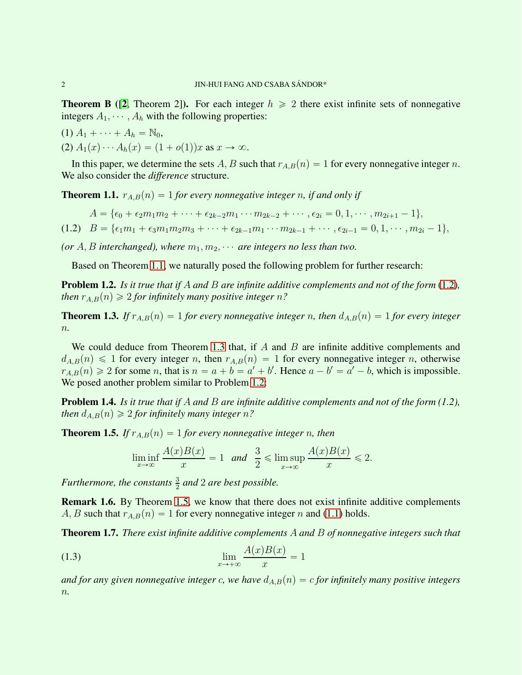**Theorem B** ([[2](#page-5-1), Theorem 2]). For each integer  $h \ge 2$  there exist infinite sets of nonnegative integers  $A_1, \dots, A_h$  with the following properties:

(1)  $A_1 + \cdots + A_h = \mathbb{N}_0$ ,

$$
(2) A1(x) \cdots Ah(x) = (1 + o(1))x \text{ as } x \to \infty.
$$

In this paper, we determine the sets A, B such that  $r_{A,B}(n) = 1$  for every nonnegative integer n. We also consider the *difference* structure.

<span id="page-1-0"></span>**Theorem 1.1.**  $r_{A,B}(n) = 1$  *for every nonnegative integer n, if and only if* 

<span id="page-1-1"></span>
$$
A = \{\epsilon_0 + \epsilon_2 m_1 m_2 + \dots + \epsilon_{2k-2} m_1 \cdots m_{2k-2} + \cdots, \epsilon_{2i} = 0, 1, \cdots, m_{2i+1} - 1\},\
$$

(1.2)  $B = \{ \epsilon_1 m_1 + \epsilon_3 m_1 m_2 m_3 + \cdots + \epsilon_{2k-1} m_1 \cdots m_{2k-1} + \cdots, \epsilon_{2i-1} = 0, 1, \cdots, m_{2i} - 1 \},\$ 

*(or*  $A, B$  *interchanged), where*  $m_1, m_2, \cdots$  *are integers no less than two.* 

Based on Theorem [1.1,](#page-1-0) we naturally posed the following problem for further research:

<span id="page-1-3"></span>Problem 1.2. *Is it true that if* A *and* B *are infinite additive complements and not of the form* [\(1.2\)](#page-1-1)*, then*  $r_{AB}(n) \geq 2$  *for infinitely many positive integer* n?

<span id="page-1-2"></span>**Theorem 1.3.** *If*  $r_{A,B}(n) = 1$  *for every nonnegative integer n, then*  $d_{A,B}(n) = 1$  *for every integer* n*.*

We could deduce from Theorem [1.3](#page-1-2) that, if  $A$  and  $B$  are infinite additive complements and  $d_{A,B}(n) \leq 1$  for every integer n, then  $r_{A,B}(n) = 1$  for every nonnegative integer n, otherwise  $r_{A,B}(n) \geq 2$  for some n, that is  $n = a + b = a' + b'$ . Hence  $a - b' = a' - b$ , which is impossible. We posed another problem similar to Problem [1.2:](#page-1-3)

Problem 1.4. *Is it true that if* A *and* B *are infinite additive complements and not of the form (1.2), then*  $d_{A,B}(n) \geq 2$  *for infinitely many integer n*?

<span id="page-1-4"></span>**Theorem 1.5.** *If*  $r_{A,B}(n) = 1$  *for every nonnegative integer n, then* 

<span id="page-1-6"></span>
$$
\liminf_{x \to \infty} \frac{A(x)B(x)}{x} = 1 \quad \text{and} \quad \frac{3}{2} \leqslant \limsup_{x \to \infty} \frac{A(x)B(x)}{x} \leqslant 2.
$$

*Furthermore, the constants*  $\frac{3}{2}$  *and* 2 *are best possible.* 

Remark 1.6. By Theorem [1.5,](#page-1-4) we know that there does not exist infinite additive complements  $A, B$  such that  $r_{A,B}(n) = 1$  for every nonnegative integer n and [\(1.1\)](#page-0-0) holds.

<span id="page-1-5"></span>Theorem 1.7. *There exist infinite additive complements* A *and* B *of nonnegative integers such that*

$$
\lim_{x \to +\infty} \frac{A(x)B(x)}{x} = 1
$$

*and for any given nonnegative integer c, we have*  $d_{A,B}(n) = c$  *for infinitely many positive integers* n*.*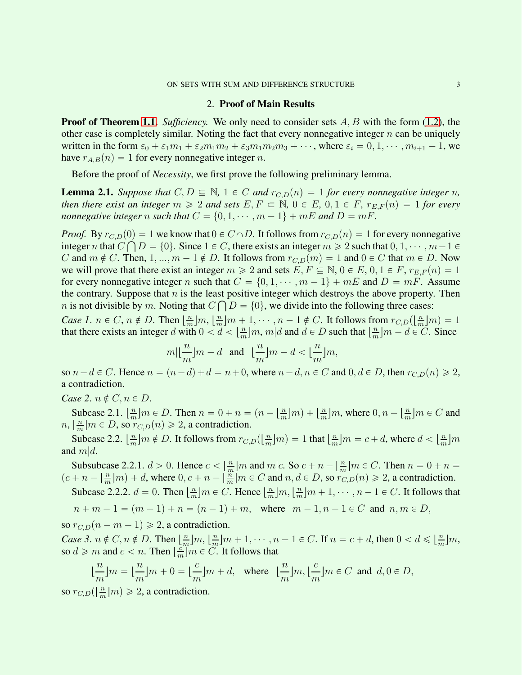## 2. Proof of Main Results

**Proof of Theorem [1.1.](#page-1-0)** *Sufficiency.* We only need to consider sets A, B with the form [\(1.2\)](#page-1-1), the other case is completely similar. Noting the fact that every nonnegative integer  $n$  can be uniquely written in the form  $\varepsilon_0 + \varepsilon_1 m_1 + \varepsilon_2 m_1 m_2 + \varepsilon_3 m_1 m_2 m_3 + \cdots$ , where  $\varepsilon_i = 0, 1, \cdots, m_{i+1} - 1$ , we have  $r_{A,B}(n) = 1$  for every nonnegative integer n.

Before the proof of *Necessity*, we first prove the following preliminary lemma.

<span id="page-2-0"></span>**Lemma 2.1.** *Suppose that*  $C, D \subseteq \mathbb{N}$ ,  $1 \in C$  *and*  $r_{C,D}(n) = 1$  *for every nonnegative integer n*, *then there exist an integer*  $m \geq 2$  *and sets*  $E, F \subset \mathbb{N}$ ,  $0 \in E$ ,  $0, 1 \in F$ ,  $r_{E,F}(n) = 1$  *for every nonnegative integer* n *such that*  $C = \{0, 1, \dots, m - 1\} + mE$  and  $D = mF$ .

*Proof.* By  $r_{C,D}(0) = 1$  we know that  $0 \in C \cap D$ . It follows from  $r_{C,D}(n) = 1$  for every nonnegative integer n that  $C \bigcap D = \{0\}$ . Since  $1 \in C$ , there exists an integer  $m \geq 2$  such that  $0, 1, \dots, m-1 \in$ C and  $m \notin C$ . Then,  $1, ..., m - 1 \notin D$ . It follows from  $r_{C,D}(m) = 1$  and  $0 \in C$  that  $m \in D$ . Now we will prove that there exist an integer  $m \geq 2$  and sets  $E, F \subseteq \mathbb{N}, 0 \in E, 0, 1 \in F, r_{E,F}(n) = 1$ for every nonnegative integer n such that  $C = \{0, 1, \dots, m - 1\} + mE$  and  $D = mF$ . Assume the contrary. Suppose that  $n$  is the least positive integer which destroys the above property. Then *n* is not divisible by *m*. Noting that  $C \bigcap D = \{0\}$ , we divide into the following three cases:

*Case 1.*  $n \in C$ ,  $n \notin D$ . Then  $\left\lfloor \frac{n}{m} \right\rfloor$  $\frac{n}{m}$ ] $m, \lfloor \frac{n}{m} \rfloor$  $\frac{n}{m}[m+1,\cdots,n-1 \notin C$ . It follows from  $r_{C,D}(\lfloor \frac{n}{m}\rfloor)$  $\frac{n}{m}$ |*m*) = 1 that there exists an integer d with  $0 < d < \frac{n}{m}$  $\frac{n}{m}$ ]*m*, *m*|*d* and *d*  $\in$  *D* such that  $\left\lfloor \frac{n}{m} \right\rfloor$  $\frac{n}{m}$ ] $m - d \in C$ . Since

$$
m|\lfloor\frac{n}{m}\rfloor m-d\quad\text{and}\quad \lfloor\frac{n}{m}\rfloor m-d<\lfloor\frac{n}{m}\rfloor m,
$$

so  $n-d \in C$ . Hence  $n = (n-d) + d = n+0$ , where  $n-d, n \in C$  and  $0, d \in D$ , then  $r_{C,D}(n) \geq 2$ , a contradiction.

*Case 2.*  $n \notin C, n \in D$ .

Subcase 2.1.  $\left\lfloor \frac{n}{m} \right\rfloor$  $\frac{n}{m}$   $m \in D$ . Then  $n = 0 + n = (n - \lfloor \frac{n}{m} \rfloor)$  $\frac{n}{m}$ |m  $\Big) + \Big\lfloor \frac{n}{m} \Big\rfloor$  $\frac{n}{m}$  m, where  $0, n - \lfloor \frac{n}{m} \rfloor$  $\frac{n}{m}$ ] $m \in C$  and  $n, \left\lfloor \frac{n}{m} \right\rfloor$  $\frac{n}{m}\big|m \in D$ , so  $r_{C,D}(n) \geq 2$ , a contradiction.

Subcase 2.2.  $\frac{n}{m}$  $\frac{n}{m}$   $m \notin D$ . It follows from  $r_{C,D}(\lfloor \frac{n}{m} \rfloor)$  $\frac{n}{m}$ ] $m) = 1$  that  $\frac{n}{m}$  $\frac{n}{m}$ ] $m = c + d$ , where  $d < \left\lfloor \frac{n}{m} \right\rfloor$  $\frac{n}{m}$ |m and  $m|d$ .

Subsubcase 2.2.1.  $d > 0$ . Hence  $c < \left\lfloor \frac{n}{m} \right\rfloor$  $\frac{m}{m}$  *m* and *m* | *c*. So  $c + n - \frac{m}{m}$  $\frac{n}{m}$   $m \in C$ . Then  $n = 0 + n =$  $(c + n - \frac{n}{m})$  $\frac{n}{m}$  $\left|m\right\rangle + d$ , where  $0, c + n - \left\lfloor \frac{n}{m} \right\rfloor$  $\frac{n}{m}[m] \in C$  and  $n, d \in D$ , so  $r_{C,D}(n) \geq 2$ , a contradiction.

Subcase 2.2.2.  $d = 0$ . Then  $\left\lfloor \frac{n}{m} \right\rfloor$  $\frac{n}{m}$ ] $m \in C$ . Hence  $\lfloor \frac{n}{m} \rfloor$  $\frac{n}{m}$ ] $m, \lfloor \frac{n}{m} \rfloor$  $\frac{n}{m}$ ] $m+1, \cdots, n-1 \in C$ . It follows that  $n + m - 1 = (m - 1) + n = (n - 1) + m$ , where  $m - 1, n - 1 \in C$  and  $n, m \in D$ ,

so  $r_{C,D}(n - m - 1) \geq 2$ , a contradiction.

*Case 3.*  $n \notin C, n \notin D$ . Then  $\left\lfloor \frac{n}{m} \right\rfloor$  $\frac{n}{m}$ ] $m, \lfloor \frac{n}{m} \rfloor$  $\frac{n}{m}$ | $m+1, \cdots, n-1 \in C$ . If  $n = c + d$ , then  $0 < d \leq \lfloor \frac{n}{m} \rfloor$  $\frac{n}{m}$ |m, so  $d \geq m$  and  $c < n$ . Then  $\left|\frac{c}{n}\right|$  $\frac{c}{m}$   $m \in C$ . It follows that

$$
\lfloor \frac{n}{m} \rfloor m = \lfloor \frac{n}{m} \rfloor m + 0 = \lfloor \frac{c}{m} \rfloor m + d, \text{ where } \lfloor \frac{n}{m} \rfloor m, \lfloor \frac{c}{m} \rfloor m \in C \text{ and } d, 0 \in D,
$$

so  $r_{C,D}(\left\lfloor \frac{n}{m} \right\rfloor)$  $\frac{n}{m}[m] \geq 2$ , a contradiction.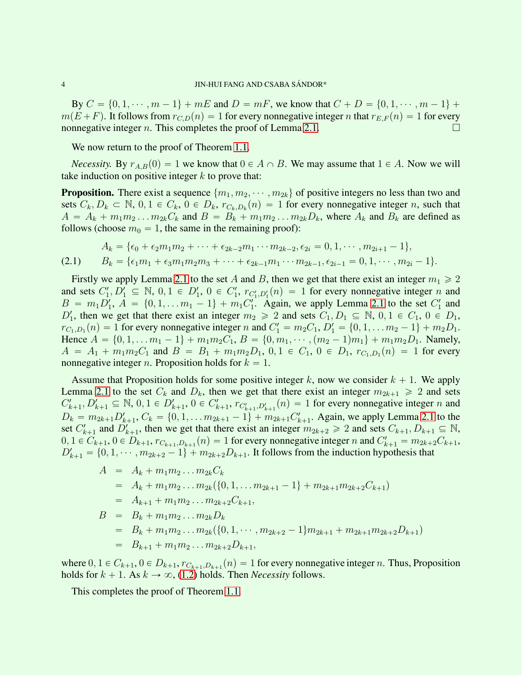By  $C = \{0, 1, \dots, m - 1\} + mE$  and  $D = mF$ , we know that  $C + D = \{0, 1, \dots, m - 1\} + D$  $m(E + F)$ . It follows from  $r_{C,D}(n) = 1$  for every nonnegative integer n that  $r_{E,F}(n) = 1$  for every nonnegative integer n. This completes the proof of Lemma [2.1.](#page-2-0)

We now return to the proof of Theorem [1.1.](#page-1-0)

*Necessity.* By  $r_{A,B}(0) = 1$  we know that  $0 \in A \cap B$ . We may assume that  $1 \in A$ . Now we will take induction on positive integer  $k$  to prove that:

**Proposition.** There exist a sequence  $\{m_1, m_2, \dots, m_{2k}\}$  of positive integers no less than two and sets  $C_k, D_k \subset \mathbb{N}, 0, 1 \in C_k, 0 \in D_k, r_{C_k,D_k}(n) = 1$  for every nonnegative integer n, such that  $A = A_k + m_1 m_2 \dots m_{2k} C_k$  and  $B = B_k + m_1 m_2 \dots m_{2k} D_k$ , where  $A_k$  and  $B_k$  are defined as follows (choose  $m_0 = 1$ , the same in the remaining proof):

<span id="page-3-0"></span>
$$
A_k = \{ \epsilon_0 + \epsilon_2 m_1 m_2 + \dots + \epsilon_{2k-2} m_1 \cdots m_{2k-2}, \epsilon_{2i} = 0, 1, \dots, m_{2i+1} - 1 \},
$$
  
(2.1) 
$$
B_k = \{ \epsilon_1 m_1 + \epsilon_3 m_1 m_2 m_3 + \dots + \epsilon_{2k-1} m_1 \cdots m_{2k-1}, \epsilon_{2i-1} = 0, 1, \dots, m_{2i} - 1 \}.
$$

Firstly we apply Lemma [2.1](#page-2-0) to the set A and B, then we get that there exist an integer  $m_1 \geq 2$ and sets  $C'_1, D'_1 \subseteq \mathbb{N}, 0, 1 \in D'_1, 0 \in C'_1, r_{C'_1, D'_1}(n) = 1$  for every nonnegative integer n and  $B = m_1 D'_1$ ,  $A = \{0, 1, \ldots m_1 - 1\} + m_1 C'_1$ . Again, we apply Lemma [2.1](#page-2-0) to the set  $C'_1$  and  $D'_1$ , then we get that there exist an integer  $m_2 \geq 2$  and sets  $C_1, D_1 \subseteq \mathbb{N}, 0, 1 \in C_1, 0 \in D_1$ ,  $r_{C_1,D_1}(n) = 1$  for every nonnegative integer n and  $C_1' = m_2C_1$ ,  $D_1' = \{0, 1, \ldots m_2 - 1\} + m_2D_1$ . Hence  $A = \{0, 1, \ldots m_1 - 1\} + m_1m_2C_1$ ,  $B = \{0, m_1, \cdots, (m_2 - 1)m_1\} + m_1m_2D_1$ . Namely,  $A = A_1 + m_1 m_2 C_1$  and  $B = B_1 + m_1 m_2 D_1$ ,  $0, 1 \in C_1$ ,  $0 \in D_1$ ,  $r_{C_1,D_1}(n) = 1$  for every nonnegative integer *n*. Proposition holds for  $k = 1$ .

Assume that Proposition holds for some positive integer k, now we consider  $k + 1$ . We apply Lemma [2.1](#page-2-0) to the set  $C_k$  and  $D_k$ , then we get that there exist an integer  $m_{2k+1} \ge 2$  and sets  $C'_{k+1}, D'_{k+1} \subseteq \mathbb{N}, 0, 1 \in D'_{k+1}, 0 \in C'_{k+1}, r_{C'_{k+1}, D'_{k+1}}(n) = 1$  for every nonnegative integer n and  $D_k = m_{2k+1}D'_{k+1}, C_k = \{0, 1, \ldots m_{2k+1} - 1\} + m_{2k+1}C'_{k+1}$ . Again, we apply Lemma [2.1](#page-2-0) to the set  $C'_{k+1}$  and  $D'_{k+1}$ , then we get that there exist an integer  $m_{2k+2} \ge 2$  and sets  $C_{k+1}, D_{k+1} \subseteq \mathbb{N}$ ,  $0, 1 \in C_{k+1}, 0 \in D_{k+1}, r_{C_{k+1},D_{k+1}}(n) = 1$  for every nonnegative integer n and  $C'_{k+1} = m_{2k+2}C_{k+1}$ ,  $D'_{k+1} = \{0, 1, \cdots, m_{2k+2}-1\} + m_{2k+2}D_{k+1}$ . It follows from the induction hypothesis that

$$
A = A_k + m_1 m_2 ... m_{2k} C_k
$$
  
=  $A_k + m_1 m_2 ... m_{2k} (\{0, 1, ... m_{2k+1} - 1\} + m_{2k+1} m_{2k+2} C_{k+1})$   
=  $A_{k+1} + m_1 m_2 ... m_{2k+2} C_{k+1},$   

$$
B = B_k + m_1 m_2 ... m_{2k} D_k
$$
  
=  $B_k + m_1 m_2 ... m_{2k} (\{0, 1, ... , m_{2k+2} - 1\} m_{2k+1} + m_{2k+1} m_{2k+2} D_{k+1})$   
=  $B_{k+1} + m_1 m_2 ... m_{2k+2} D_{k+1},$ 

where  $0, 1 \in C_{k+1}, 0 \in D_{k+1}, r_{C_{k+1},D_{k+1}}(n) = 1$  for every nonnegative integer n. Thus, Proposition holds for  $k + 1$ . As  $k \to \infty$ , [\(1.2\)](#page-1-1) holds. Then *Necessity* follows.

This completes the proof of Theorem [1.1.](#page-1-0)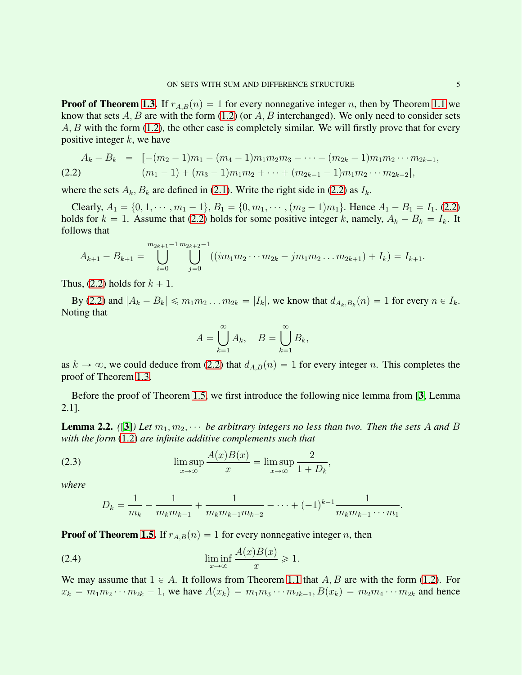**Proof of Theorem [1.3.](#page-1-2)** If  $r_{A,B}(n) = 1$  for every nonnegative integer n, then by Theorem [1.1](#page-1-0) we know that sets  $A, B$  are with the form [\(1.2\)](#page-1-1) (or  $A, B$  interchanged). We only need to consider sets A, B with the form [\(1.2\)](#page-1-1), the other case is completely similar. We will firstly prove that for every positive integer  $k$ , we have

<span id="page-4-0"></span>
$$
A_k - B_k = [-(m_2 - 1)m_1 - (m_4 - 1)m_1m_2m_3 - \cdots - (m_{2k} - 1)m_1m_2 \cdots m_{2k-1},
$$
  
(2.2) 
$$
(m_1 - 1) + (m_3 - 1)m_1m_2 + \cdots + (m_{2k-1} - 1)m_1m_2 \cdots m_{2k-2}],
$$

where the sets  $A_k$ ,  $B_k$  are defined in [\(2.1\)](#page-3-0). Write the right side in [\(2.2\)](#page-4-0) as  $I_k$ .

Clearly,  $A_1 = \{0, 1, \dots, m_1 - 1\}, B_1 = \{0, m_1, \dots, (m_2 - 1)m_1\}.$  Hence  $A_1 - B_1 = I_1.$  [\(2.2\)](#page-4-0) holds for  $k = 1$ . Assume that [\(2.2\)](#page-4-0) holds for some positive integer k, namely,  $A_k - B_k = I_k$ . It follows that

$$
A_{k+1}-B_{k+1}=\bigcup_{i=0}^{m_{2k+1}-1} \bigcup_{j=0}^{m_{2k+2}-1} ((im_1m_2\cdots m_{2k}-jm_1m_2\ldots m_{2k+1})+I_k)=I_{k+1}.
$$

Thus, [\(2.2\)](#page-4-0) holds for  $k + 1$ .

By [\(2.2\)](#page-4-0) and  $|A_k - B_k| \leqslant m_1 m_2 \dots m_{2k} = |I_k|$ , we know that  $d_{A_k, B_k}(n) = 1$  for every  $n \in I_k$ . Noting that

$$
A = \bigcup_{k=1}^{\infty} A_k, \quad B = \bigcup_{k=1}^{\infty} B_k,
$$

as  $k \to \infty$ , we could deduce from [\(2.2\)](#page-4-0) that  $d_{A,B}(n) = 1$  for every integer n. This completes the proof of Theorem [1.3.](#page-1-2)

Before the proof of Theorem [1.5,](#page-1-4) we first introduce the following nice lemma from [[3](#page-5-2), Lemma 2.1].

<span id="page-4-2"></span>**Lemma 2.2.** ([[3](#page-5-2)]) Let  $m_1, m_2, \cdots$  be arbitrary integers no less than two. Then the sets A and B *with the form* [\(1.2\)](#page-1-1) *are infinite additive complements such that*

(2.3) 
$$
\limsup_{x \to \infty} \frac{A(x)B(x)}{x} = \limsup_{x \to \infty} \frac{2}{1 + D_k},
$$

*where*

<span id="page-4-1"></span>
$$
D_k = \frac{1}{m_k} - \frac{1}{m_k m_{k-1}} + \frac{1}{m_k m_{k-1} m_{k-2}} - \dots + (-1)^{k-1} \frac{1}{m_k m_{k-1} \cdots m_1}.
$$

**Proof of Theorem [1.5.](#page-1-4)** If  $r_{AB}(n) = 1$  for every nonnegative integer n, then

$$
\liminf_{x \to \infty} \frac{A(x)B(x)}{x} \ge 1.
$$

We may assume that  $1 \in A$ . It follows from Theorem [1.1](#page-1-0) that A, B are with the form [\(1.2\)](#page-1-1). For  $x_k = m_1 m_2 \cdots m_{2k} - 1$ , we have  $A(x_k) = m_1 m_3 \cdots m_{2k-1}$ ,  $B(x_k) = m_2 m_4 \cdots m_{2k}$  and hence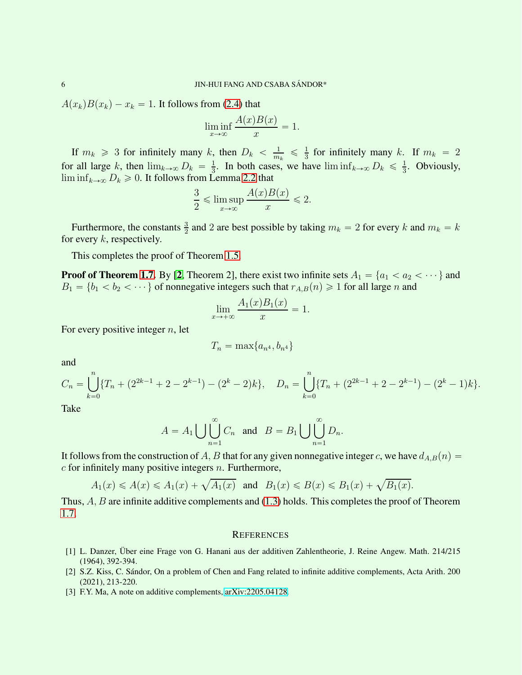$A(x_k)B(x_k) - x_k = 1$ . It follows from [\(2.4\)](#page-4-1) that

$$
\liminf_{x \to \infty} \frac{A(x)B(x)}{x} = 1.
$$

If  $m_k \geq 3$  for infinitely many k, then  $D_k < \frac{1}{m}$  $\frac{1}{m_k} \leqslant \frac{1}{3}$  $\frac{1}{3}$  for infinitely many k. If  $m_k = 2$ for all large k, then  $\lim_{k\to\infty} D_k = \frac{1}{3}$  $\frac{1}{3}$ . In both cases, we have  $\liminf_{k\to\infty} D_k \leq \frac{1}{3}$  $\frac{1}{3}$ . Obviously,  $\liminf_{k\to\infty} D_k \geq 0$ . It follows from Lemma [2.2](#page-4-2) that

$$
\frac{3}{2} \leq \limsup_{x \to \infty} \frac{A(x)B(x)}{x} \leq 2.
$$

Furthermore, the constants  $\frac{3}{2}$  and 2 are best possible by taking  $m_k = 2$  for every k and  $m_k = k$ for every  $k$ , respectively.

This completes the proof of Theorem [1.5.](#page-1-4)

**Proof of Theorem [1.7.](#page-1-5)** By [[2](#page-5-1), Theorem 2], there exist two infinite sets  $A_1 = \{a_1 < a_2 < \cdots \}$  and  $B_1 = \{b_1 < b_2 < \cdots\}$  of nonnegative integers such that  $r_{A,B}(n) \geq 1$  for all large n and

$$
\lim_{x \to +\infty} \frac{A_1(x)B_1(x)}{x} = 1.
$$

For every positive integer  $n$ , let

$$
T_n = \max\{a_{n^4}, b_{n^4}\}\
$$

and

$$
C_n = \bigcup_{k=0}^n \{T_n + (2^{2k-1} + 2 - 2^{k-1}) - (2^k - 2)k\}, \quad D_n = \bigcup_{k=0}^n \{T_n + (2^{2k-1} + 2 - 2^{k-1}) - (2^k - 1)k\}.
$$

Take

$$
A = A_1 \bigcup \bigcup_{n=1}^{\infty} C_n \text{ and } B = B_1 \bigcup \bigcup_{n=1}^{\infty} D_n.
$$

It follows from the construction of A, B that for any given nonnegative integer c, we have  $d_{A,B}(n) =$  $c$  for infinitely many positive integers  $n$ . Furthermore,

$$
A_1(x) \le A(x) \le A_1(x) + \sqrt{A_1(x)}
$$
 and  $B_1(x) \le B(x) \le B_1(x) + \sqrt{B_1(x)}$ .

Thus,  $A, B$  are infinite additive complements and  $(1.3)$  holds. This completes the proof of Theorem [1.7.](#page-1-5)

## **REFERENCES**

- <span id="page-5-0"></span>[1] L. Danzer, Über eine Frage von G. Hanani aus der additiven Zahlentheorie, J. Reine Angew. Math. 214/215 (1964), 392-394.
- <span id="page-5-1"></span>[2] S.Z. Kiss, C. S´andor, On a problem of Chen and Fang related to infinite additive complements, Acta Arith. 200 (2021), 213-220.
- <span id="page-5-2"></span>[3] F.Y. Ma, A note on additive complements, [arXiv:2205.04128.](http://arxiv.org/abs/2205.04128)